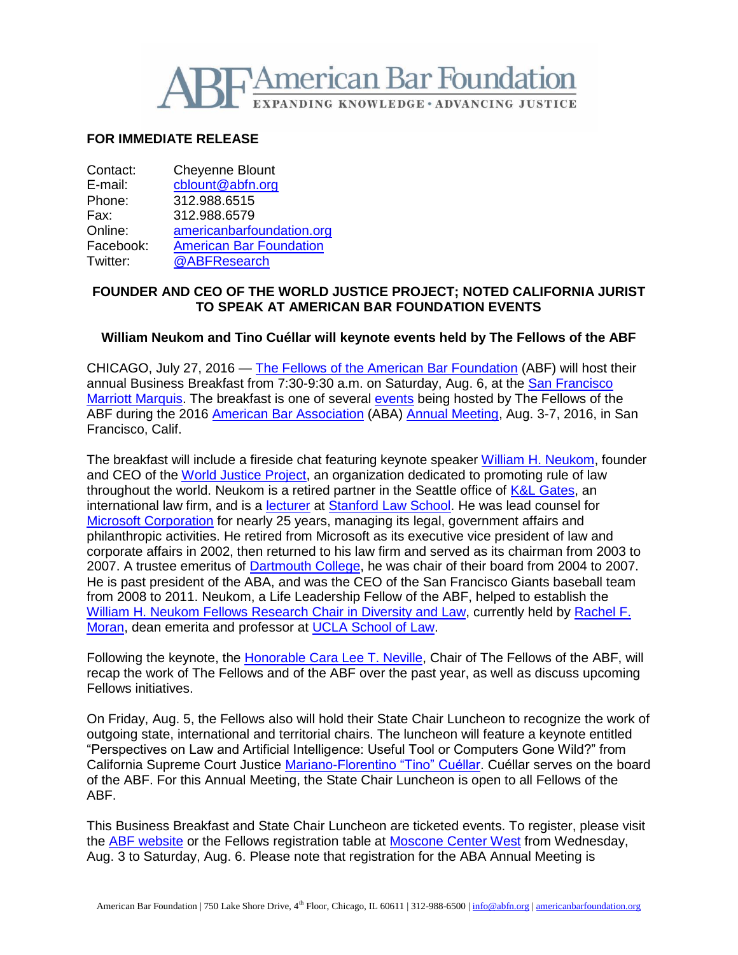

# **FOR IMMEDIATE RELEASE**

| Contact:  | <b>Cheyenne Blount</b>         |
|-----------|--------------------------------|
| E-mail:   | cblount@abfn.org               |
| Phone:    | 312.988.6515                   |
| Fax:      | 312.988.6579                   |
| Online:   | americanbarfoundation.org      |
| Facebook: | <b>American Bar Foundation</b> |
| Twitter:  | @ABFResearch                   |

# **FOUNDER AND CEO OF THE WORLD JUSTICE PROJECT; NOTED CALIFORNIA JURIST TO SPEAK AT AMERICAN BAR FOUNDATION EVENTS**

## **William Neukom and Tino Cuéllar will keynote events held by The Fellows of the ABF**

CHICAGO, July 27, 2016 — [The Fellows of the American Bar Foundation](http://www.americanbarfoundation.org/fellows/index.html) (ABF) will host their annual Business Breakfast from 7:30-9:30 a.m. on Saturday, Aug. 6, at the [San Francisco](http://www.marriott.com/hotels/travel/sfodt-san-francisco-marriott-marquis/)  [Marriott Marquis.](http://www.marriott.com/hotels/travel/sfodt-san-francisco-marriott-marquis/) The breakfast is one of several [events](http://www.americanbarfoundation.org/uploads/cms/documents/abf_2016sf_finalregistrationform.pdf) being hosted by The Fellows of the ABF during the 2016 [American Bar Association](http://www.americanbar.org/) (ABA) [Annual Meeting,](http://www.americanbar.org/calendar/annual.html) Aug. 3-7, 2016, in San Francisco, Calif.

The breakfast will include a fireside chat featuring keynote speaker [William H. Neukom,](http://worldjusticeproject.org/bio/officer/william-h-neukom) founder and CEO of the [World Justice Project,](http://worldjusticeproject.org/) an organization dedicated to promoting rule of law throughout the world. Neukom is a retired partner in the Seattle office of [K&L Gates,](http://www.klgates.com/) an international law firm, and is a [lecturer](https://law.stanford.edu/directory/william-neukom/) at [Stanford Law School.](https://law.stanford.edu/) He was lead counsel for [Microsoft Corporation](https://www.microsoft.com/en-us/) for nearly 25 years, managing its legal, government affairs and philanthropic activities. He retired from Microsoft as its executive vice president of law and corporate affairs in 2002, then returned to his law firm and served as its chairman from 2003 to 2007. A trustee emeritus of [Dartmouth College,](http://dartmouth.edu/) he was chair of their board from 2004 to 2007. He is past president of the ABA, and was the CEO of the San Francisco Giants baseball team from 2008 to 2011. Neukom, a Life Leadership Fellow of the ABF, helped to establish the [William H. Neukom Fellows Research Chair in Diversity and Law,](http://www.americanbarfoundation.org/support/The_Fellows_Research_Chair_in_Diversity_and_Law.html) currently held by [Rachel F.](http://www.americanbarfoundation.org/news/589)  [Moran,](http://www.americanbarfoundation.org/news/589) dean emerita and professor at [UCLA School of Law.](http://law.ucla.edu/)

Following the keynote, the [Honorable Cara Lee T. Neville,](http://www.americanbarfoundation.org/fellows/Aboutthefellows/FellowsOfficers.html) Chair of The Fellows of the ABF, will recap the work of The Fellows and of the ABF over the past year, as well as discuss upcoming Fellows initiatives.

On Friday, Aug. 5, the Fellows also will hold their State Chair Luncheon to recognize the work of outgoing state, international and territorial chairs. The luncheon will feature a keynote entitled "Perspectives on Law and Artificial Intelligence: Useful Tool or Computers Gone Wild?" from California Supreme Court Justice [Mariano-Florentino "Tino" Cuéllar.](http://www.courts.ca.gov/28724.htm) Cuéllar serves on the board of the ABF. For this Annual Meeting, the State Chair Luncheon is open to all Fellows of the ABF.

This Business Breakfast and State Chair Luncheon are ticketed events. To register, please visit the [ABF website](http://www.americanbarfoundation.org/fellows/events/560) or the Fellows registration table at [Moscone Center West](https://www.moscone.com/mtgplanners/floorplans/west.shtml) from Wednesday, Aug. 3 to Saturday, Aug. 6. Please note that registration for the ABA Annual Meeting is